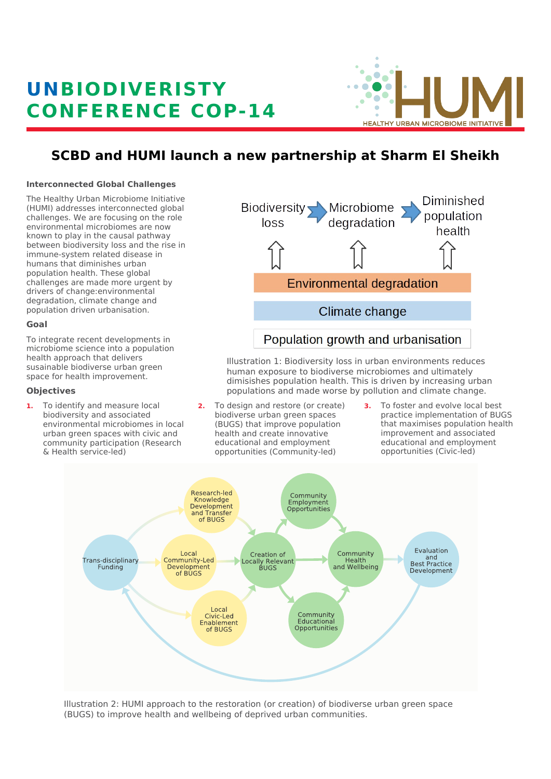# **UNB IOD IVER ISTY CONFERENCE COP-14**



# **SCBD and HUMI launch a new partnership at Sharm El Sheikh**

#### **Interconnected Global Challenges**

The Healthy Urban Microbiome Initiative (HUMI) addresses interconnected global challenges. We are focusing on the role environmental microbiomes are now known to play in the causal pathway between biodiversity loss and the rise in immune-system related disease in humans that diminishes urban population health. These global challenges are made more urgent by drivers of change:environmental degradation, climate change and population driven urbanisation.

# **Goal**

To integrate recent developments in microbiome science into a population health approach that delivers susainable biodiverse urban green space for health improvement.

# **Objectives**

**1.** To identify and measure local biodiversity and associated environmental microbiomes in local urban green spaces with civic and community participation (Research & Health service-led)



Illustration 1: Biodiversity loss in urban environments reduces human exposure to biodiverse microbiomes and ultimately dimisishes population health. This is driven by increasing urban populations and made worse by pollution and climate change.

- **2.** To design and restore (or create) biodiverse urban green spaces (BUGS) that improve population health and create innovative educational and employment opportunities (Community-led)
- **3.** To foster and evolve local best practice implementation of BUGS that maximises population health improvement and associated educational and employment opportunities (Civic-led)



Illustration 2: HUMI approach to the restoration (or creation) of biodiverse urban green space (BUGS) to improve health and wellbeing of deprived urban communities.